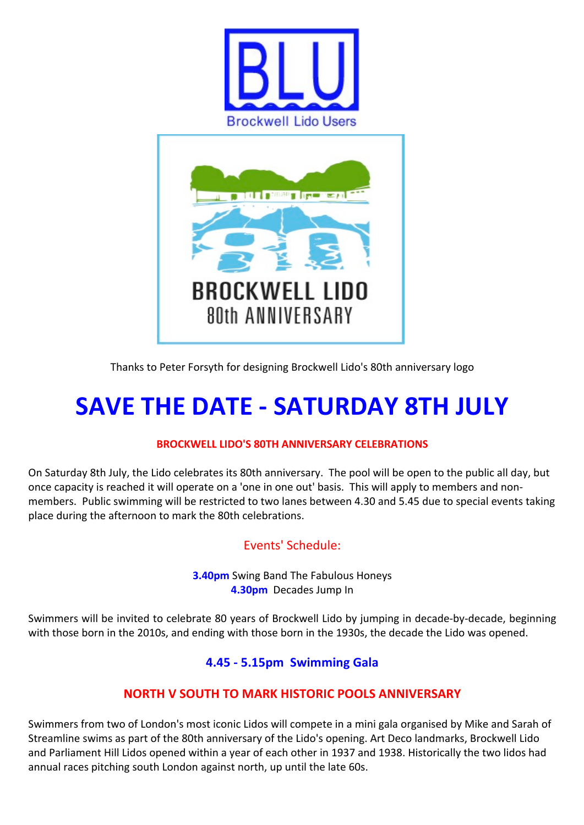



Thanks to Peter Forsyth for designing Brockwell Lido's 80th anniversary logo

# **SAVE THE DATE - SATURDAY 8TH JULY**

#### **BROCKWELL LIDO'S 80TH ANNIVERSARY CELEBRATIONS**

On Saturday 8th July, the Lido celebrates its 80th anniversary. The pool will be open to the public all day, but once capacity is reached it will operate on a 'one in one out' basis. This will apply to members and nonmembers. Public swimming will be restricted to two lanes between 4.30 and 5.45 due to special events taking place during the afternoon to mark the 80th celebrations.

## Events' Schedule:

**3.40pm** Swing Band The Fabulous Honeys **4.30pm** Decades Jump In

Swimmers will be invited to celebrate 80 years of Brockwell Lido by jumping in decade-by-decade, beginning with those born in the 2010s, and ending with those born in the 1930s, the decade the Lido was opened.

## **4.45 - 5.15pm Swimming Gala**

#### **NORTH V SOUTH TO MARK HISTORIC POOLS ANNIVERSARY**

Swimmers from two of London's most iconic Lidos will compete in a mini gala organised by Mike and Sarah of Streamline swims as part of the 80th anniversary of the Lido's opening. Art Deco landmarks, Brockwell Lido and Parliament Hill Lidos opened within a year of each other in 1937 and 1938. Historically the two lidos had annual races pitching south London against north, up until the late 60s.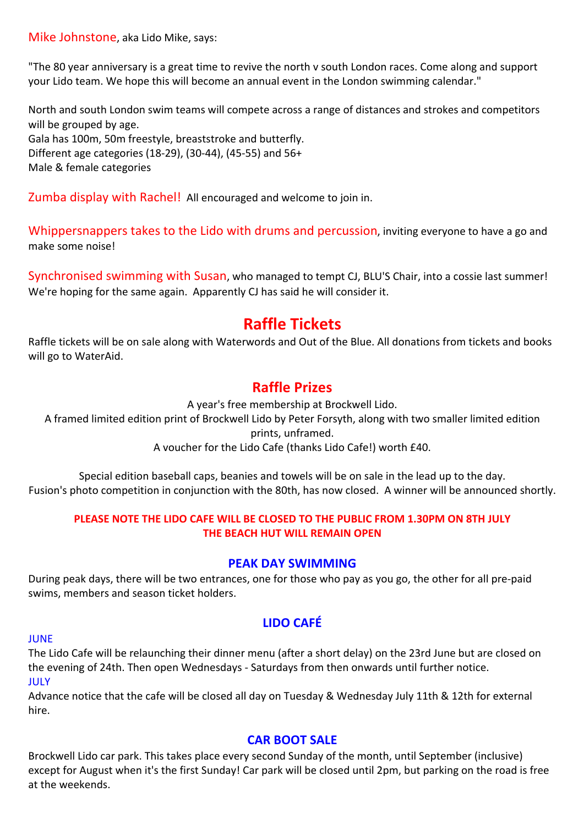Mike Johnstone, aka Lido Mike, says:

"The 80 year anniversary is a great time to revive the north v south London races. Come along and support your Lido team. We hope this will become an annual event in the London swimming calendar."

North and south London swim teams will compete across a range of distances and strokes and competitors will be grouped by age. Gala has 100m, 50m freestyle, breaststroke and butterfly. Different age categories (18-29), (30-44), (45-55) and  $56+$ Male & female categories

Zumba display with Rachel! All encouraged and welcome to join in.

Whippersnappers takes to the Lido with drums and percussion, inviting everyone to have a go and make some noise!

Synchronised swimming with Susan, who managed to tempt CJ, BLU'S Chair, into a cossie last summer! We're hoping for the same again. Apparently CJ has said he will consider it.

## **Raffle Tickets**

Raffle tickets will be on sale along with Waterwords and Out of the Blue. All donations from tickets and books will go to WaterAid.

## **Raffle Prizes**

A year's free membership at Brockwell Lido. A framed limited edition print of Brockwell Lido by Peter Forsyth, along with two smaller limited edition prints, unframed. A voucher for the Lido Cafe (thanks Lido Cafe!) worth £40.

Special edition baseball caps, beanies and towels will be on sale in the lead up to the day. Fusion's photo competition in conjunction with the 80th, has now closed. A winner will be announced shortly.

#### **PLEASE NOTE THE LIDO CAFE WILL BE CLOSED TO THE PUBLIC FROM 1.30PM ON 8TH JULY THE BEACH HUT WILL REMAIN OPEN**

#### **PEAK DAY SWIMMING**

During peak days, there will be two entrances, one for those who pay as you go, the other for all pre-paid swims, members and season ticket holders.

## **LIDO CAFÉ**

#### JUNE

The Lido Cafe will be relaunching their dinner menu (after a short delay) on the 23rd June but are closed on the evening of 24th. Then open Wednesdays - Saturdays from then onwards until further notice. JULY

Advance notice that the cafe will be closed all day on Tuesday & Wednesday July 11th & 12th for external hire. 

#### **CAR BOOT SALE**

Brockwell Lido car park. This takes place every second Sunday of the month, until September (inclusive) except for August when it's the first Sunday! Car park will be closed until 2pm, but parking on the road is free at the weekends.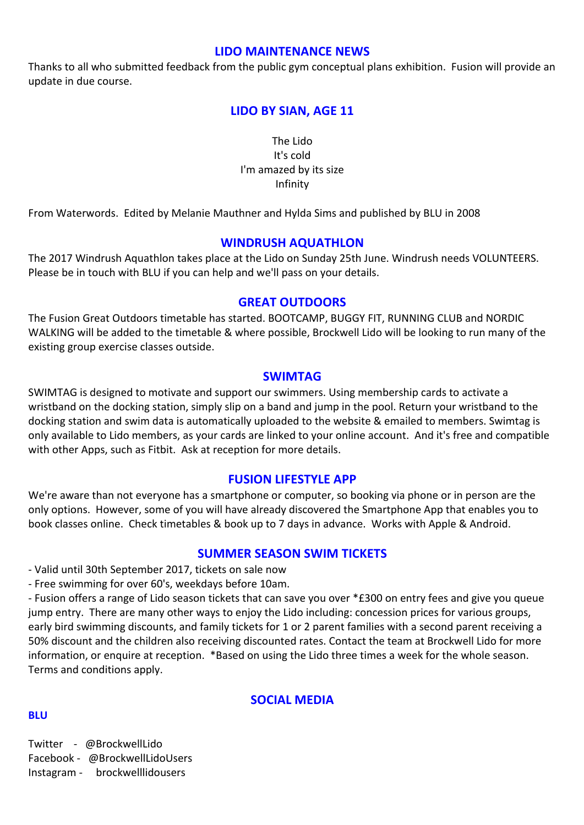#### **LIDO MAINTENANCE NEWS**

Thanks to all who submitted feedback from the public gym conceptual plans exhibition. Fusion will provide an update in due course.

#### LIDO BY SIAN, AGE 11

The Lido It's cold I'm amazed by its size Infinity

From Waterwords. Edited by Melanie Mauthner and Hylda Sims and published by BLU in 2008

#### **WINDRUSH AQUATHLON**

The 2017 Windrush Aquathlon takes place at the Lido on Sunday 25th June. Windrush needs VOLUNTEERS. Please be in touch with BLU if you can help and we'll pass on your details.

#### **GREAT OUTDOORS**

The Fusion Great Outdoors timetable has started. BOOTCAMP, BUGGY FIT, RUNNING CLUB and NORDIC WALKING will be added to the timetable & where possible, Brockwell Lido will be looking to run many of the existing group exercise classes outside.

#### **SWIMTAG**

SWIMTAG is designed to motivate and support our swimmers. Using membership cards to activate a wristband on the docking station, simply slip on a band and jump in the pool. Return your wristband to the docking station and swim data is automatically uploaded to the website & emailed to members. Swimtag is only available to Lido members, as your cards are linked to your online account. And it's free and compatible with other Apps, such as Fitbit. Ask at reception for more details.

#### **FUSION LIFESTYLE APP**

We're aware than not everyone has a smartphone or computer, so booking via phone or in person are the only options. However, some of you will have already discovered the Smartphone App that enables you to book classes online. Check timetables & book up to 7 days in advance. Works with Apple & Android.

#### **SUMMER SEASON SWIM TICKETS**

- Valid until 30th September 2017, tickets on sale now

- Free swimming for over 60's, weekdays before 10am.

- Fusion offers a range of Lido season tickets that can save you over \*£300 on entry fees and give you queue jump entry. There are many other ways to enjoy the Lido including: concession prices for various groups, early bird swimming discounts, and family tickets for 1 or 2 parent families with a second parent receiving a 50% discount and the children also receiving discounted rates. Contact the team at Brockwell Lido for more information, or enquire at reception. \*Based on using the Lido three times a week for the whole season. Terms and conditions apply.

#### **SOCIAL MEDIA**

#### **BLU**

Twitter - @BrockwellLido Facebook - @BrockwellLidoUsers Instagram - brockwelllidousers